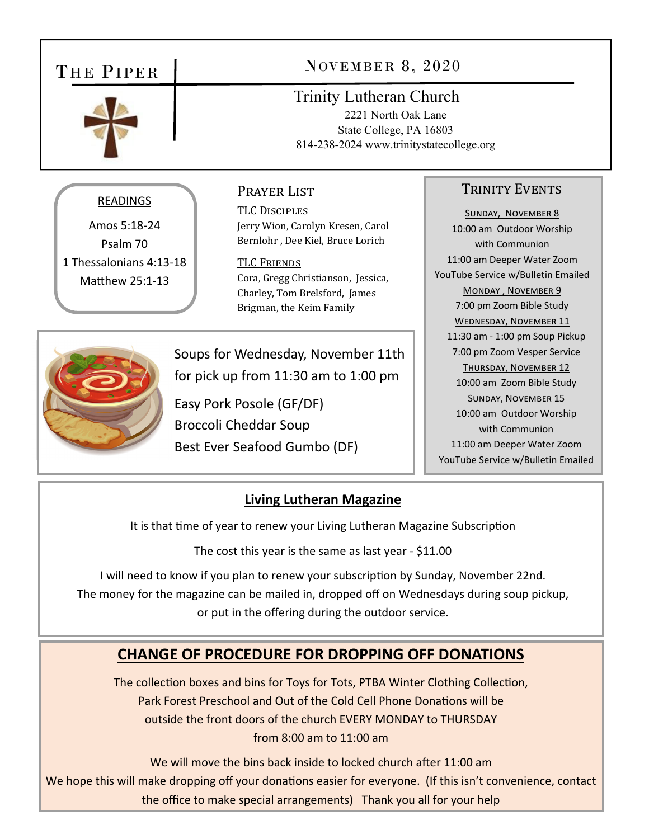# THE PIPER



# NOVEMBER 8, 2020

## Trinity Lutheran Church

2221 North Oak Lane State College, PA 16803 814-238-2024 www.trinitystatecollege.org

### READINGS

Amos 5:18‐24 Psalm 70 1 Thessalonians 4:13‐18 Matthew 25:1-13

#### Prayer List

TLC DISCIPLES Jerry Wion, Carolyn Kresen, Carol Bernlohr , Dee Kiel, Bruce Lorich

TLC FRIENDS Cora, Gregg Christianson, Jessica, Charley, Tom Brelsford, James Brigman, the Keim Family

Soups for Wednesday, November 11th for pick up from 11:30 am to 1:00 pm

Easy Pork Posole (GF/DF) Broccoli Cheddar Soup Best Ever Seafood Gumbo (DF)

#### TRINITY EVENTS

SUNDAY, NOVEMBER 8 10:00 am Outdoor Worship with Communion 11:00 am Deeper Water Zoom YouTube Service w/Bulletin Emailed MONDAY, NOVEMBER 9 7:00 pm Zoom Bible Study WEDNESDAY, NOVEMBER 11 11:30 am ‐ 1:00 pm Soup Pickup 7:00 pm Zoom Vesper Service THURSDAY, NOVEMBER 12 10:00 am Zoom Bible Study SUNDAY, NOVEMBER 15 10:00 am Outdoor Worship with Communion 11:00 am Deeper Water Zoom YouTube Service w/Bulletin Emailed



## **Living Lutheran Magazine**

It is that time of year to renew your Living Lutheran Magazine Subscription

The cost this year is the same as last year ‐ \$11.00

I will need to know if you plan to renew your subscription by Sunday, November 22nd. The money for the magazine can be mailed in, dropped off on Wednesdays during soup pickup, or put in the offering during the outdoor service.

# **CHANGE OF PROCEDURE FOR DROPPING OFF DONATIONS**

The collection boxes and bins for Toys for Tots, PTBA Winter Clothing Collection, Park Forest Preschool and Out of the Cold Cell Phone Donations will be outside the front doors of the church EVERY MONDAY to THURSDAY from 8:00 am to 11:00 am

We will move the bins back inside to locked church after 11:00 am We hope this will make dropping off your donations easier for everyone. (If this isn't convenience, contact the office to make special arrangements) Thank you all for your help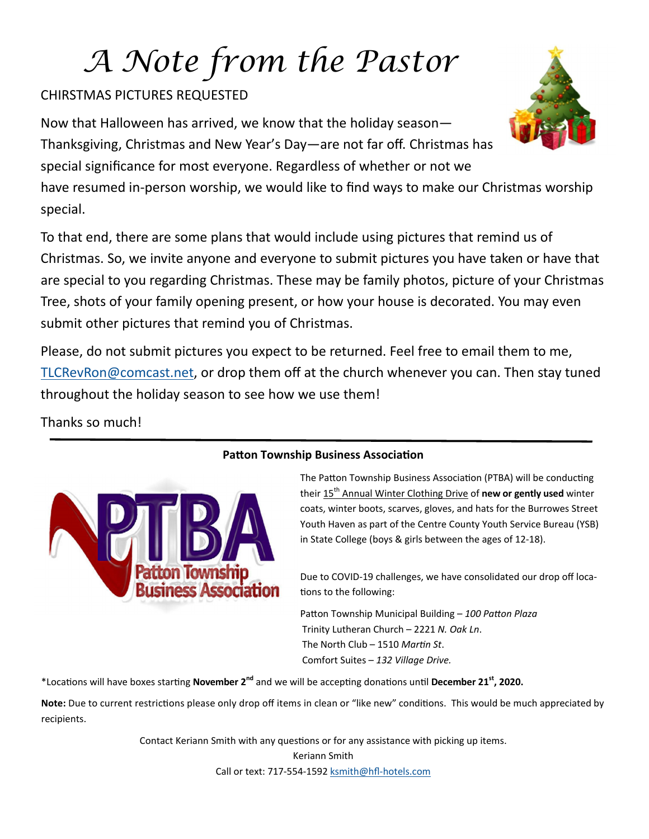# *A Note from the Pastor*

## CHIRSTMAS PICTURES REQUESTED

Now that Halloween has arrived, we know that the holiday season— Thanksgiving, Christmas and New Year's Day—are not far off. Christmas has special significance for most everyone. Regardless of whether or not we have resumed in‐person worship, we would like to find ways to make our Christmas worship special.

To that end, there are some plans that would include using pictures that remind us of Christmas. So, we invite anyone and everyone to submit pictures you have taken or have that are special to you regarding Christmas. These may be family photos, picture of your Christmas Tree, shots of your family opening present, or how your house is decorated. You may even submit other pictures that remind you of Christmas.

Please, do not submit pictures you expect to be returned. Feel free to email them to me, TLCRevRon@comcast.net, or drop them off at the church whenever you can. Then stay tuned throughout the holiday season to see how we use them!

Thanks so much!



The Patton Township Business Association (PTBA) will be conducting their 15th Annual Winter Clothing Drive of **new or gently used** winter coats, winter boots, scarves, gloves, and hats for the Burrowes Street Youth Haven as part of the Centre County Youth Service Bureau (YSB) in State College (boys & girls between the ages of 12‐18).

Due to COVID-19 challenges, we have consolidated our drop off locations to the following:

Patton Township Municipal Building - 100 Patton Plaza Trinity Lutheran Church – 2221 *N. Oak Ln*. The North Club – 1510 Martin St. Comfort Suites – *132 Village Drive.*

\*LocaƟons will have boxes starƟng **November 2nd** and we will be accepƟng donaƟons unƟl **December 21st, 2020.**

Note: Due to current restrictions please only drop off items in clean or "like new" conditions. This would be much appreciated by recipients.

> Contact Keriann Smith with any questions or for any assistance with picking up items. Keriann Smith Call or text: 717‐554‐1592 ksmith@hfl‐hotels.com



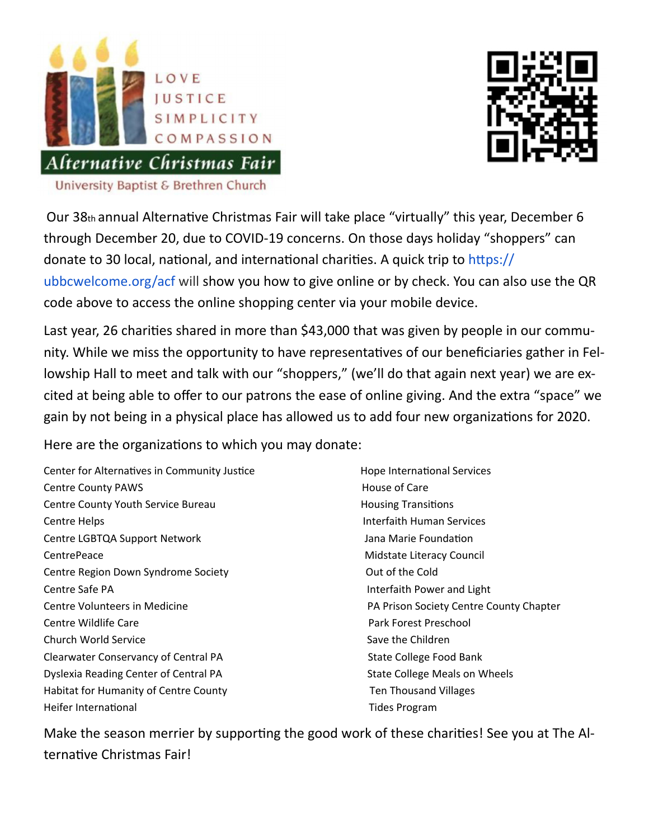



Our 38th annual Alternative Christmas Fair will take place "virtually" this year, December 6 through December 20, due to COVID‐19 concerns. On those days holiday "shoppers" can donate to 30 local, national, and international charities. A quick trip to https:// ubbcwelcome.org/acf will show you how to give online or by check. You can also use the QR code above to access the online shopping center via your mobile device.

Last year, 26 charities shared in more than \$43,000 that was given by people in our community. While we miss the opportunity to have representatives of our beneficiaries gather in Fellowship Hall to meet and talk with our "shoppers," (we'll do that again next year) we are excited at being able to offer to our patrons the ease of online giving. And the extra "space" we gain by not being in a physical place has allowed us to add four new organizations for 2020.

Here are the organizations to which you may donate:

Center for Alternatives in Community Justice **Biggs** Hope International Services Centre County PAWS **Section 20 ACC 20 ACC 20 ACC 20 ACC 20 ACC 20 ACC 20 ACC 20 ACC 20 ACC 20 ACC 20 ACC 20 ACC 20 ACC 20 ACC 20 ACC 20 ACC 20 ACC 20 ACC 20 ACC 20 ACC 20 ACC 20 ACC 20 ACC 20 ACC 20 ACC 20 ACC 20 ACC 20 A** Centre County Youth Service Bureau **1988 1998 1998 1999 1999 1999 1999 1999 1999 1999 1999 1999 1999 1999 1999 1999 1999 1999 1999 1999 1999 1999 1999 1999 1999 1999** Centre Helps **Manual Services 1999 Interfaith Human Services** Centre LGBTQA Support Network Jana Marie FoundaƟon CentrePeace **CentrePeace 12 CentrePeace 12 CentrePeace 12 CentrePeace 12 CentrePeace 12 CentrePeace 12 Centre** Centre Region Down Syndrome Society **1999 Centre Region Down Syndrome Society** 1999 Cut of the Cold Centre Safe PA Interfaith Power and Light Centre Volunteers in Medicine **Manual Exercise Society Centre County Chapter** County Chapter Centre Wildlife Care Park Forest Preschool Church World Service **Children** Save the Children Clearwater Conservancy of Central PA State College Food Bank Dyslexia Reading Center of Central PA State College Meals on Wheels Habitat for Humanity of Centre County Ten Thousand Villages Heifer International **Base of the Contract of Times Account Contract Contract Account Contract Contract Account** 

Make the season merrier by supporting the good work of these charities! See you at The Alternative Christmas Fair!